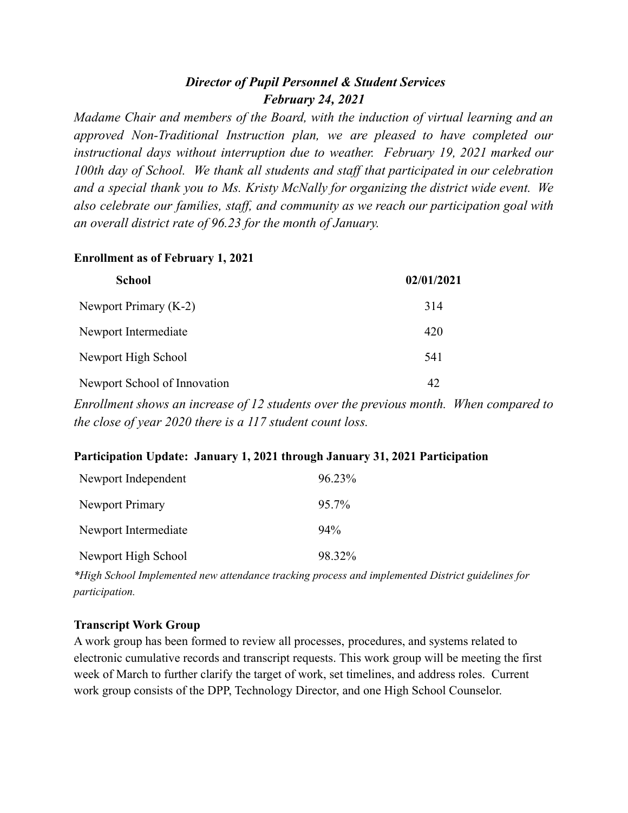# *Director of Pupil Personnel & Student Services February 24, 2021*

*Madame Chair and members of the Board, with the induction of virtual learning and an approved Non-Traditional Instruction plan, we are pleased to have completed our instructional days without interruption due to weather. February 19, 2021 marked our 100th day of School. We thank all students and staf that participated in our celebration and a special thank you to Ms. Kristy McNally for organizing the district wide event. We also celebrate our families, staf , and community as we reach our participation goal with an overall district rate of 96.23 for the month of January.*

### **Enrollment as of February 1, 2021**

| <b>School</b>                | 02/01/2021 |
|------------------------------|------------|
| Newport Primary (K-2)        | 314        |
| Newport Intermediate         | 420        |
| Newport High School          | 541        |
| Newport School of Innovation | 42         |

*Enrollment shows an increase of 12 students over the previous month. When compared to the close of year 2020 there is a 117 student count loss.*

### **Participation Update: January 1, 2021 through January 31, 2021 Participation**

| Newport Independent    | $96.23\%$ |
|------------------------|-----------|
| <b>Newport Primary</b> | $95.7\%$  |
| Newport Intermediate   | $94\%$    |
| Newport High School    | 98.32%    |

*\*High School Implemented new attendance tracking process and implemented District guidelines for participation.*

### **Transcript Work Group**

A work group has been formed to review all processes, procedures, and systems related to electronic cumulative records and transcript requests. This work group will be meeting the first week of March to further clarify the target of work, set timelines, and address roles. Current work group consists of the DPP, Technology Director, and one High School Counselor.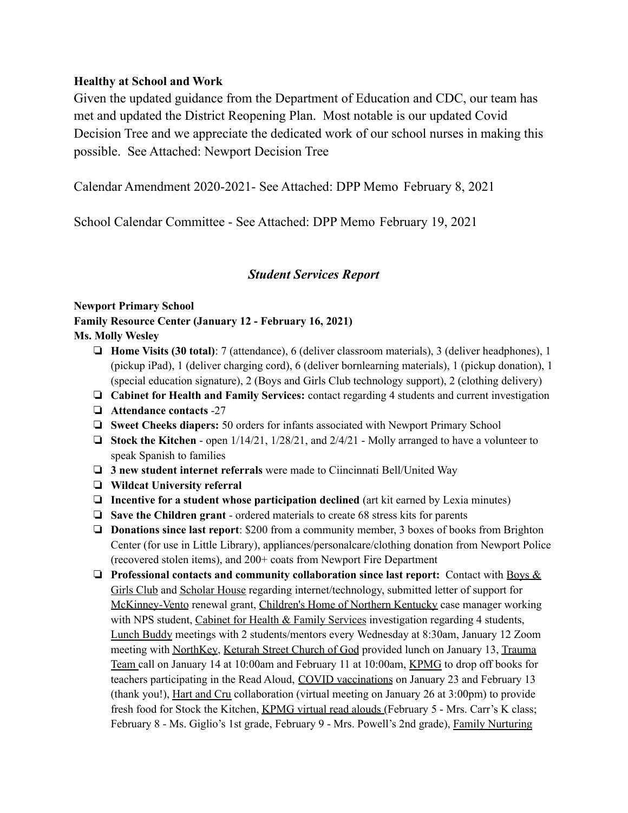### **Healthy at School and Work**

Given the updated guidance from the Department of Education and CDC, our team has met and updated the District Reopening Plan. Most notable is our updated Covid Decision Tree and we appreciate the dedicated work of our school nurses in making this possible. See Attached: Newport Decision Tree

Calendar Amendment 2020-2021- See Attached: DPP Memo February 8, 2021

School Calendar Committee - See Attached: DPP Memo February 19, 2021

## *Student Services Report*

#### **Newport Primary School**

**Family Resource Center (January 12 - February 16, 2021) Ms. Molly Wesley**

- ❏ **Home Visits (30 total)**: 7 (attendance), 6 (deliver classroom materials), 3 (deliver headphones), 1 (pickup iPad), 1 (deliver charging cord), 6 (deliver bornlearning materials), 1 (pickup donation), 1 (special education signature), 2 (Boys and Girls Club technology support), 2 (clothing delivery)
- ❏ **Cabinet for Health and Family Services:** contact regarding 4 students and current investigation
- ❏ **Attendance contacts** -27
- ❏ **Sweet Cheeks diapers:** 50 orders for infants associated with Newport Primary School
- ❏ **Stock the Kitchen** open 1/14/21, 1/28/21, and 2/4/21 Molly arranged to have a volunteer to speak Spanish to families
- ❏ **3 new student internet referrals** were made to Ciincinnati Bell/United Way
- ❏ **Wildcat University referral**
- ❏ **Incentive for a student whose participation declined** (art kit earned by Lexia minutes)
- ❏ **Save the Children grant** ordered materials to create 68 stress kits for parents
- ❏ **Donations since last report**: \$200 from a community member, 3 boxes of books from Brighton Center (for use in Little Library), appliances/personalcare/clothing donation from Newport Police (recovered stolen items), and 200+ coats from Newport Fire Department
- ❏ **Professional contacts and community collaboration since last report:** Contact with Boys & Girls Club and Scholar House regarding internet/technology, submitted letter of support for McKinney-Vento renewal grant, Children's Home of Northern Kentucky case manager working with NPS student, Cabinet for Health  $&$  Family Services investigation regarding 4 students, Lunch Buddy meetings with 2 students/mentors every Wednesday at 8:30am, January 12 Zoom meeting with NorthKey, Keturah Street Church of God provided lunch on January 13, Trauma Team call on January 14 at 10:00am and February 11 at 10:00am, KPMG to drop off books for teachers participating in the Read Aloud, COVID vaccinations on January 23 and February 13 (thank you!), Hart and Cru collaboration (virtual meeting on January 26 at 3:00pm) to provide fresh food for Stock the Kitchen, KPMG virtual read alouds (February 5 - Mrs. Carr's K class; February 8 - Ms. Giglio's 1st grade, February 9 - Mrs. Powell's 2nd grade), Family Nurturing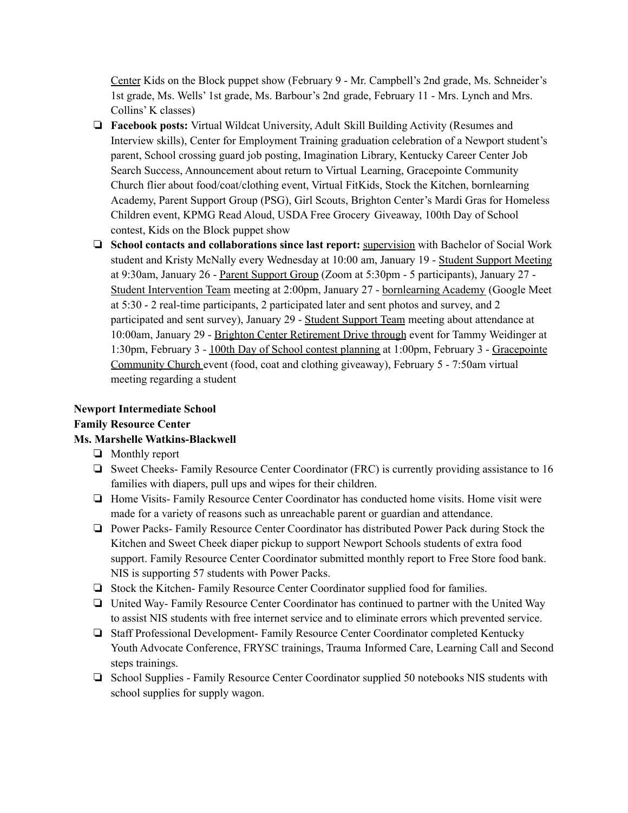Center Kids on the Block puppet show (February 9 - Mr. Campbell's 2nd grade, Ms. Schneider's 1st grade, Ms. Wells' 1st grade, Ms. Barbour's 2nd grade, February 11 - Mrs. Lynch and Mrs. Collins' K classes)

- ❏ **Facebook posts:** Virtual Wildcat University, Adult Skill Building Activity (Resumes and Interview skills), Center for Employment Training graduation celebration of a Newport student's parent, School crossing guard job posting, Imagination Library, Kentucky Career Center Job Search Success, Announcement about return to Virtual Learning, Gracepointe Community Church flier about food/coat/clothing event, Virtual FitKids, Stock the Kitchen, bornlearning Academy, Parent Support Group (PSG), Girl Scouts, Brighton Center's Mardi Gras for Homeless Children event, KPMG Read Aloud, USDA Free Grocery Giveaway, 100th Day of School contest, Kids on the Block puppet show
- ❏ **School contacts and collaborations since last report:** supervision with Bachelor of Social Work student and Kristy McNally every Wednesday at 10:00 am, January 19 - Student Support Meeting at 9:30am, January 26 - Parent Support Group (Zoom at 5:30pm - 5 participants), January 27 - Student Intervention Team meeting at 2:00pm, January 27 - bornlearning Academy (Google Meet at 5:30 - 2 real-time participants, 2 participated later and sent photos and survey, and 2 participated and sent survey), January 29 - Student Support Team meeting about attendance at 10:00am, January 29 - Brighton Center Retirement Drive through event for Tammy Weidinger at 1:30pm, February 3 - 100th Day of School contest planning at 1:00pm, February 3 - Gracepointe Community Church event (food, coat and clothing giveaway), February 5 - 7:50am virtual meeting regarding a student

# **Newport Intermediate School**

#### **Family Resource Center**

### **Ms. Marshelle Watkins-Blackwell**

- ❏ Monthly report
- ❏ Sweet Cheeks- Family Resource Center Coordinator (FRC) is currently providing assistance to 16 families with diapers, pull ups and wipes for their children.
- ❏ Home Visits- Family Resource Center Coordinator has conducted home visits. Home visit were made for a variety of reasons such as unreachable parent or guardian and attendance.
- ❏ Power Packs- Family Resource Center Coordinator has distributed Power Pack during Stock the Kitchen and Sweet Cheek diaper pickup to support Newport Schools students of extra food support. Family Resource Center Coordinator submitted monthly report to Free Store food bank. NIS is supporting 57 students with Power Packs.
- ❏ Stock the Kitchen- Family Resource Center Coordinator supplied food for families.
- ❏ United Way- Family Resource Center Coordinator has continued to partner with the United Way to assist NIS students with free internet service and to eliminate errors which prevented service.
- ❏ Staff Professional Development- Family Resource Center Coordinator completed Kentucky Youth Advocate Conference, FRYSC trainings, Trauma Informed Care, Learning Call and Second steps trainings.
- ❏ School Supplies Family Resource Center Coordinator supplied 50 notebooks NIS students with school supplies for supply wagon.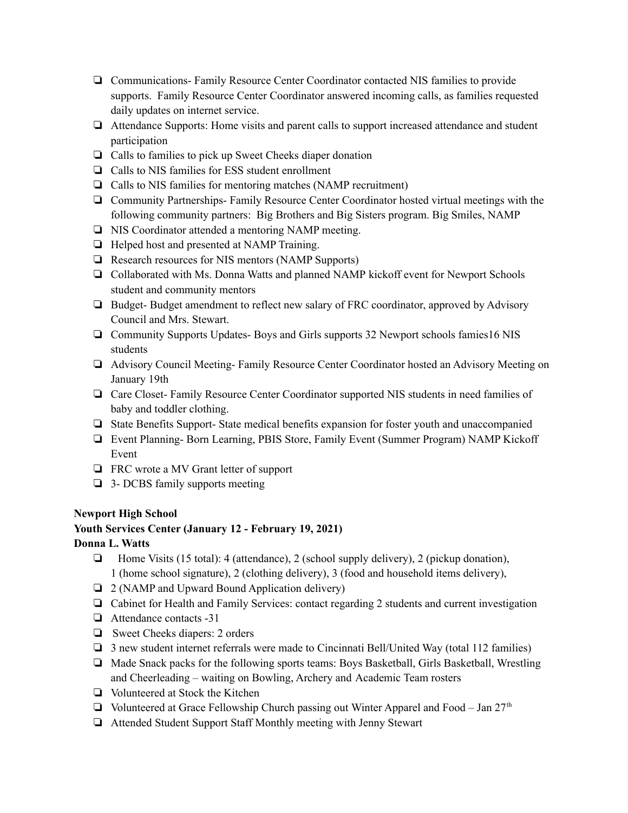- ❏ Communications- Family Resource Center Coordinator contacted NIS families to provide supports. Family Resource Center Coordinator answered incoming calls, as families requested daily updates on internet service.
- ❏ Attendance Supports: Home visits and parent calls to support increased attendance and student participation
- ❏ Calls to families to pick up Sweet Cheeks diaper donation
- ❏ Calls to NIS families for ESS student enrollment
- ❏ Calls to NIS families for mentoring matches (NAMP recruitment)
- ❏ Community Partnerships- Family Resource Center Coordinator hosted virtual meetings with the following community partners: Big Brothers and Big Sisters program. Big Smiles, NAMP
- ❏ NIS Coordinator attended a mentoring NAMP meeting.
- ❏ Helped host and presented at NAMP Training.
- ❏ Research resources for NIS mentors (NAMP Supports)
- ❏ Collaborated with Ms. Donna Watts and planned NAMP kickoff event for Newport Schools student and community mentors
- ❏ Budget- Budget amendment to reflect new salary of FRC coordinator, approved by Advisory Council and Mrs. Stewart.
- ❏ Community Supports Updates- Boys and Girls supports 32 Newport schools famies16 NIS students
- ❏ Advisory Council Meeting- Family Resource Center Coordinator hosted an Advisory Meeting on January 19th
- ❏ Care Closet- Family Resource Center Coordinator supported NIS students in need families of baby and toddler clothing.
- ❏ State Benefits Support- State medical benefits expansion for foster youth and unaccompanied
- ❏ Event Planning- Born Learning, PBIS Store, Family Event (Summer Program) NAMP Kickoff Event
- ❏ FRC wrote a MV Grant letter of support
- ❏ 3- DCBS family supports meeting

#### **Newport High School**

#### **Youth Services Center (January 12 - February 19, 2021)**

#### **Donna L. Watts**

- ❏ Home Visits (15 total): 4 (attendance), 2 (school supply delivery), 2 (pickup donation), 1 (home school signature), 2 (clothing delivery), 3 (food and household items delivery),
- ❏ 2 (NAMP and Upward Bound Application delivery)
- ❏ Cabinet for Health and Family Services: contact regarding 2 students and current investigation
- ❏ Attendance contacts -31
- ❏ Sweet Cheeks diapers: 2 orders
- ❏ 3 new student internet referrals were made to Cincinnati Bell/United Way (total 112 families)
- ❏ Made Snack packs for the following sports teams: Boys Basketball, Girls Basketball, Wrestling and Cheerleading – waiting on Bowling, Archery and Academic Team rosters
- ❏ Volunteered at Stock the Kitchen
- □ Volunteered at Grace Fellowship Church passing out Winter Apparel and Food Jan  $27<sup>th</sup>$
- ❏ Attended Student Support Staff Monthly meeting with Jenny Stewart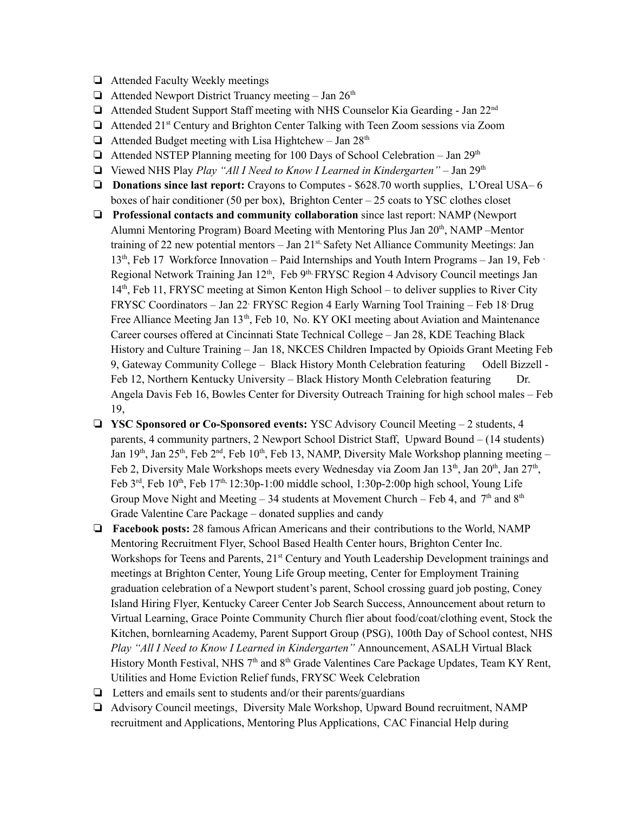- ❏ Attended Faculty Weekly meetings
- $\Box$  Attended Newport District Truancy meeting Jan 26<sup>th</sup>
- □ Attended Student Support Staff meeting with NHS Counselor Kia Gearding Jan 22<sup>nd</sup>
- □ Attended 21<sup>st</sup> Century and Brighton Center Talking with Teen Zoom sessions via Zoom
- $\Box$  Attended Budget meeting with Lisa Hightchew Jan 28<sup>th</sup>
- □ Attended NSTEP Planning meeting for 100 Days of School Celebration Jan 29<sup>th</sup>
- ❏ Viewed NHS Play *Play "All I Need to Know I Learned in Kindergarten"* Jan 29 th
- ❏ **Donations since last report:** Crayons to Computes \$628.70 worth supplies, L'Oreal USA– 6 boxes of hair conditioner (50 per box), Brighton Center  $-25$  coats to YSC clothes closet
- ❏ **Professional contacts and community collaboration** since last report: NAMP (Newport Alumni Mentoring Program) Board Meeting with Mentoring Plus Jan 20<sup>th</sup>, NAMP-Mentor training of 22 new potential mentors - Jan 21<sup>st,</sup> Safety Net Alliance Community Meetings: Jan 13<sup>th</sup>, Feb 17 Workforce Innovation – Paid Internships and Youth Intern Programs – Jan 19, Feb · Regional Network Training Jan 12<sup>th</sup>, Feb 9<sup>th,</sup> FRYSC Region 4 Advisory Council meetings Jan 14<sup>th</sup>, Feb 11, FRYSC meeting at Simon Kenton High School – to deliver supplies to River City FRYSC Coordinators - Jan 22<sup>,</sup> FRYSC Region 4 Early Warning Tool Training - Feb 18<sup>,</sup> Drug Free Alliance Meeting Jan 13<sup>th</sup>, Feb 10, No. KY OKI meeting about Aviation and Maintenance Career courses offered at Cincinnati State Technical College – Jan 28, KDE Teaching Black History and Culture Training – Jan 18, NKCES Children Impacted by Opioids Grant Meeting Feb 9, Gateway Community College – Black History Month Celebration featuring Odell Bizzell -Feb 12, Northern Kentucky University – Black History Month Celebration featuring Dr. Angela Davis Feb 16, Bowles Center for Diversity Outreach Training for high school males – Feb 19,
- ❏ **YSC Sponsored or Co-Sponsored events:** YSC Advisory Council Meeting 2 students, 4 parents, 4 community partners, 2 Newport School District Staff, Upward Bound – (14 students) Jan 19<sup>th</sup>, Jan 25<sup>th</sup>, Feb 2<sup>nd</sup>, Feb 10<sup>th</sup>, Feb 13, NAMP, Diversity Male Workshop planning meeting – Feb 2, Diversity Male Workshops meets every Wednesday via Zoom Jan 13<sup>th</sup>, Jan 20<sup>th</sup>, Jan 27<sup>th</sup>, Feb  $3<sup>rd</sup>$ , Feb  $10<sup>th</sup>$ , Feb  $17<sup>th</sup>$ ,  $12:30p-1:00$  middle school,  $1:30p-2:00p$  high school, Young Life Group Move Night and Meeting – 34 students at Movement Church – Feb 4, and  $7<sup>th</sup>$  and  $8<sup>th</sup>$ Grade Valentine Care Package – donated supplies and candy
- ❏ **Facebook posts:** 28 famous African Americans and their contributions to the World, NAMP Mentoring Recruitment Flyer, School Based Health Center hours, Brighton Center Inc. Workshops for Teens and Parents, 21<sup>st</sup> Century and Youth Leadership Development trainings and meetings at Brighton Center, Young Life Group meeting, Center for Employment Training graduation celebration of a Newport student's parent, School crossing guard job posting, Coney Island Hiring Flyer, Kentucky Career Center Job Search Success, Announcement about return to Virtual Learning, Grace Pointe Community Church flier about food/coat/clothing event, Stock the Kitchen, bornlearning Academy, Parent Support Group (PSG), 100th Day of School contest, NHS *Play "All I Need to Know I Learned in Kindergarten"* Announcement, ASALH Virtual Black History Month Festival, NHS 7<sup>th</sup> and 8<sup>th</sup> Grade Valentines Care Package Updates, Team KY Rent, Utilities and Home Eviction Relief funds, FRYSC Week Celebration
- $\Box$  Letters and emails sent to students and/or their parents/guardians
- ❏ Advisory Council meetings, Diversity Male Workshop, Upward Bound recruitment, NAMP recruitment and Applications, Mentoring Plus Applications, CAC Financial Help during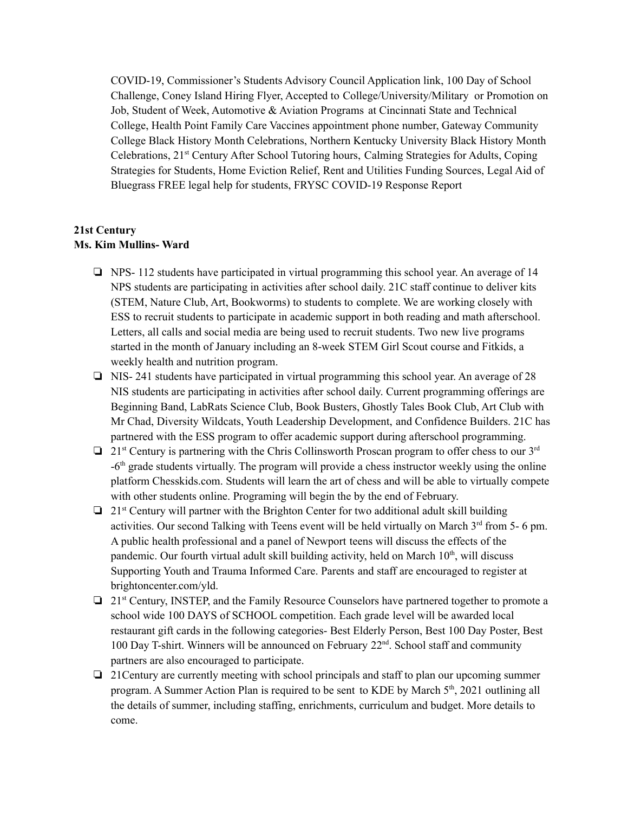COVID-19, Commissioner's Students Advisory Council Application link, 100 Day of School Challenge, Coney Island Hiring Flyer, Accepted to College/University/Military or Promotion on Job, Student of Week, Automotive & Aviation Programs at Cincinnati State and Technical College, Health Point Family Care Vaccines appointment phone number, Gateway Community College Black History Month Celebrations, Northern Kentucky University Black History Month Celebrations, 21<sup>st</sup> Century After School Tutoring hours, Calming Strategies for Adults, Coping Strategies for Students, Home Eviction Relief, Rent and Utilities Funding Sources, Legal Aid of Bluegrass FREE legal help for students, FRYSC COVID-19 Response Report

#### **21st Century Ms. Kim Mullins- Ward**

- ❏ NPS- 112 students have participated in virtual programming this school year. An average of 14 NPS students are participating in activities after school daily. 21C staff continue to deliver kits (STEM, Nature Club, Art, Bookworms) to students to complete. We are working closely with ESS to recruit students to participate in academic support in both reading and math afterschool. Letters, all calls and social media are being used to recruit students. Two new live programs started in the month of January including an 8-week STEM Girl Scout course and Fitkids, a weekly health and nutrition program.
- ❏ NIS- 241 students have participated in virtual programming this school year. An average of 28 NIS students are participating in activities after school daily. Current programming offerings are Beginning Band, LabRats Science Club, Book Busters, Ghostly Tales Book Club, Art Club with Mr Chad, Diversity Wildcats, Youth Leadership Development, and Confidence Builders. 21C has partnered with the ESS program to offer academic support during afterschool programming.
- □ 21<sup>st</sup> Century is partnering with the Chris Collinsworth Proscan program to offer chess to our 3<sup>rd</sup> -6<sup>th</sup> grade students virtually. The program will provide a chess instructor weekly using the online platform Chesskids.com. Students will learn the art of chess and will be able to virtually compete with other students online. Programing will begin the by the end of February.
- □ 21<sup>st</sup> Century will partner with the Brighton Center for two additional adult skill building activities. Our second Talking with Teens event will be held virtually on March 3<sup>rd</sup> from 5- 6 pm. A public health professional and a panel of Newport teens will discuss the effects of the pandemic. Our fourth virtual adult skill building activity, held on March 10<sup>th</sup>, will discuss Supporting Youth and Trauma Informed Care. Parents and staff are encouraged to register at brightoncenter.com/yld.
- ❏ 21 st Century, INSTEP, and the Family Resource Counselors have partnered together to promote a school wide 100 DAYS of SCHOOL competition. Each grade level will be awarded local restaurant gift cards in the following categories- Best Elderly Person, Best 100 Day Poster, Best 100 Day T-shirt. Winners will be announced on February 22<sup>nd</sup>. School staff and community partners are also encouraged to participate.
- ❏ 21Century are currently meeting with school principals and staff to plan our upcoming summer program. A Summer Action Plan is required to be sent to KDE by March 5<sup>th</sup>, 2021 outlining all the details of summer, including staffing, enrichments, curriculum and budget. More details to come.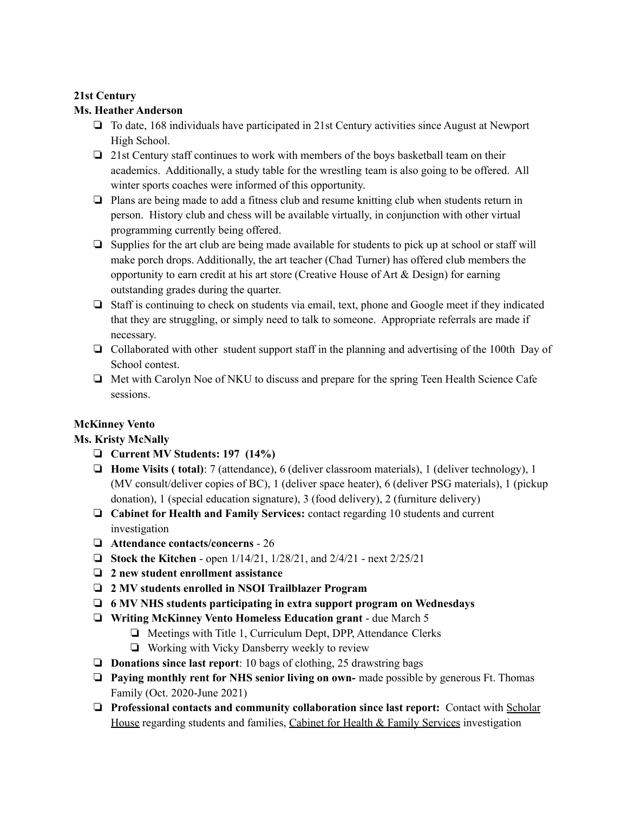#### **21st Century**

#### **Ms. Heather Anderson**

- ❏ To date, 168 individuals have participated in 21st Century activities since August at Newport High School.
- ❏ 21st Century staff continues to work with members of the boys basketball team on their academics. Additionally, a study table for the wrestling team is also going to be offered. All winter sports coaches were informed of this opportunity.
- ❏ Plans are being made to add a fitness club and resume knitting club when students return in person. History club and chess will be available virtually, in conjunction with other virtual programming currently being offered.
- ❏ Supplies for the art club are being made available for students to pick up at school or staff will make porch drops. Additionally, the art teacher (Chad Turner) has offered club members the opportunity to earn credit at his art store (Creative House of Art & Design) for earning outstanding grades during the quarter.
- ❏ Staff is continuing to check on students via email, text, phone and Google meet if they indicated that they are struggling, or simply need to talk to someone. Appropriate referrals are made if necessary.
- ❏ Collaborated with other student support staff in the planning and advertising of the 100th Day of School contest.
- ❏ Met with Carolyn Noe of NKU to discuss and prepare for the spring Teen Health Science Cafe sessions.

### **McKinney Vento**

### **Ms. Kristy McNally**

- ❏ **Current MV Students: 197 (14%)**
- ❏ **Home Visits ( total)**: 7 (attendance), 6 (deliver classroom materials), 1 (deliver technology), 1 (MV consult/deliver copies of BC), 1 (deliver space heater), 6 (deliver PSG materials), 1 (pickup donation), 1 (special education signature), 3 (food delivery), 2 (furniture delivery)
- ❏ **Cabinet for Health and Family Services:** contact regarding 10 students and current investigation
- ❏ **Attendance contacts/concerns** 26
- ❏ **Stock the Kitchen** open 1/14/21, 1/28/21, and 2/4/21 next 2/25/21
- ❏ **2 new student enrollment assistance**
- ❏ **2 MV students enrolled in NSOI Trailblazer Program**
- ❏ **6 MV NHS students participating in extra support program on Wednesdays**
- ❏ **Writing McKinney Vento Homeless Education grant** due March 5
	- ❏ Meetings with Title 1, Curriculum Dept, DPP, Attendance Clerks
	- ❏ Working with Vicky Dansberry weekly to review
- ❏ **Donations since last report**: 10 bags of clothing, 25 drawstring bags
- ❏ **Paying monthly rent for NHS senior living on own-** made possible by generous Ft. Thomas Family (Oct. 2020-June 2021)
- ❏ **Professional contacts and community collaboration since last report:** Contact with Scholar House regarding students and families, Cabinet for Health & Family Services investigation